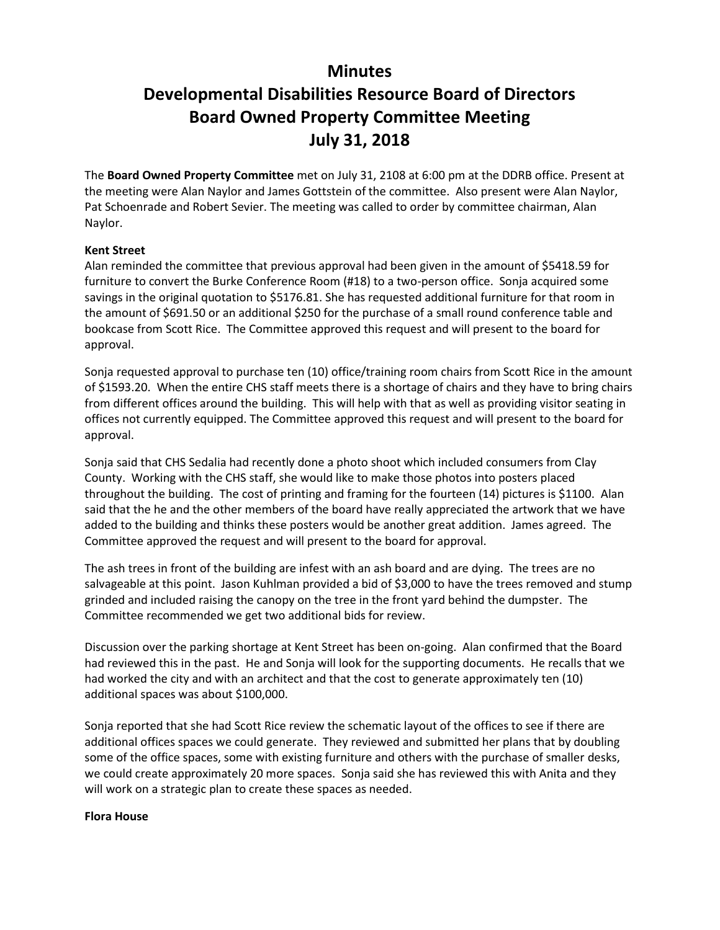## **Minutes**

## **Developmental Disabilities Resource Board of Directors Board Owned Property Committee Meeting July 31, 2018**

The **Board Owned Property Committee** met on July 31, 2108 at 6:00 pm at the DDRB office. Present at the meeting were Alan Naylor and James Gottstein of the committee. Also present were Alan Naylor, Pat Schoenrade and Robert Sevier. The meeting was called to order by committee chairman, Alan Naylor.

## **Kent Street**

Alan reminded the committee that previous approval had been given in the amount of \$5418.59 for furniture to convert the Burke Conference Room (#18) to a two-person office. Sonja acquired some savings in the original quotation to \$5176.81. She has requested additional furniture for that room in the amount of \$691.50 or an additional \$250 for the purchase of a small round conference table and bookcase from Scott Rice. The Committee approved this request and will present to the board for approval.

Sonja requested approval to purchase ten (10) office/training room chairs from Scott Rice in the amount of \$1593.20. When the entire CHS staff meets there is a shortage of chairs and they have to bring chairs from different offices around the building. This will help with that as well as providing visitor seating in offices not currently equipped. The Committee approved this request and will present to the board for approval.

Sonja said that CHS Sedalia had recently done a photo shoot which included consumers from Clay County. Working with the CHS staff, she would like to make those photos into posters placed throughout the building. The cost of printing and framing for the fourteen (14) pictures is \$1100. Alan said that the he and the other members of the board have really appreciated the artwork that we have added to the building and thinks these posters would be another great addition. James agreed. The Committee approved the request and will present to the board for approval.

The ash trees in front of the building are infest with an ash board and are dying. The trees are no salvageable at this point. Jason Kuhlman provided a bid of \$3,000 to have the trees removed and stump grinded and included raising the canopy on the tree in the front yard behind the dumpster. The Committee recommended we get two additional bids for review.

Discussion over the parking shortage at Kent Street has been on-going. Alan confirmed that the Board had reviewed this in the past. He and Sonja will look for the supporting documents. He recalls that we had worked the city and with an architect and that the cost to generate approximately ten (10) additional spaces was about \$100,000.

Sonja reported that she had Scott Rice review the schematic layout of the offices to see if there are additional offices spaces we could generate. They reviewed and submitted her plans that by doubling some of the office spaces, some with existing furniture and others with the purchase of smaller desks, we could create approximately 20 more spaces. Sonja said she has reviewed this with Anita and they will work on a strategic plan to create these spaces as needed.

## **Flora House**